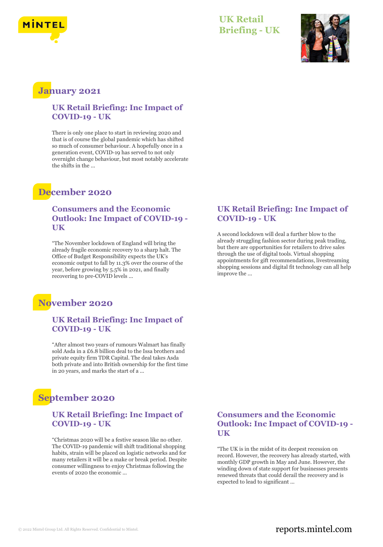

### **UK Retail Briefing - UK**



## **January 2021**

### **UK Retail Briefing: Inc Impact of COVID-19 - UK**

There is only one place to start in reviewing 2020 and that is of course the global pandemic which has shifted so much of consumer behaviour. A hopefully once in a generation event, COVID-19 has served to not only overnight change behaviour, but most notably accelerate the shifts in the ...

## **December 2020**

### **Consumers and the Economic Outlook: Inc Impact of COVID-19 - UK**

"The November lockdown of England will bring the already fragile economic recovery to a sharp halt. The Office of Budget Responsibility expects the UK's economic output to fall by 11.3% over the course of the year, before growing by 5.5% in 2021, and finally recovering to pre-COVID levels ...

## **November 2020**

### **UK Retail Briefing: Inc Impact of COVID-19 - UK**

"After almost two years of rumours Walmart has finally sold Asda in a £6.8 billion deal to the Issa brothers and private equity firm TDR Capital. The deal takes Asda both private and into British ownership for the first time in 20 years, and marks the start of a ...

# **September 2020**

### **UK Retail Briefing: Inc Impact of COVID-19 - UK**

"Christmas 2020 will be a festive season like no other. The COVID-19 pandemic will shift traditional shopping habits, strain will be placed on logistic networks and for many retailers it will be a make or break period. Despite consumer willingness to enjoy Christmas following the events of 2020 the economic ...

#### **UK Retail Briefing: Inc Impact of COVID-19 - UK**

A second lockdown will deal a further blow to the already struggling fashion sector during peak trading, but there are opportunities for retailers to drive sales through the use of digital tools. Virtual shopping appointments for gift recommendations, livestreaming shopping sessions and digital fit technology can all help improve the ...

### **Consumers and the Economic Outlook: Inc Impact of COVID-19 - UK**

"The UK is in the midst of its deepest recession on record. However, the recovery has already started, with monthly GDP growth in May and June. However, the winding down of state support for businesses presents renewed threats that could derail the recovery and is expected to lead to significant ...

### © 2022 Mintel Group Ltd. All Rights Reserved. Confidential to Mintel.  $\blacksquare$  reports.mintel.com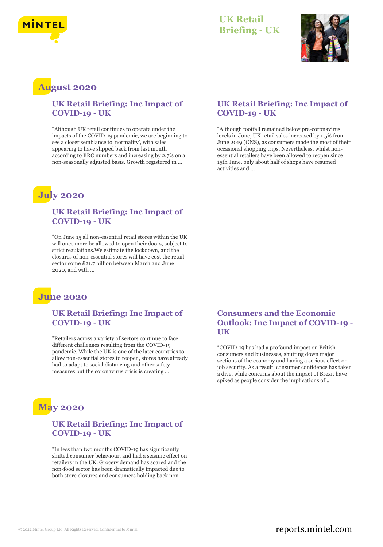

### **UK Retail Briefing - UK**



### **August 2020**

### **UK Retail Briefing: Inc Impact of COVID-19 - UK**

"Although UK retail continues to operate under the impacts of the COVID-19 pandemic, we are beginning to see a closer semblance to 'normality', with sales appearing to have slipped back from last month according to BRC numbers and increasing by 2.7% on a non-seasonally adjusted basis. Growth registered in ...

# **July 2020**

#### **UK Retail Briefing: Inc Impact of COVID-19 - UK**

"On June 15 all non-essential retail stores within the UK will once more be allowed to open their doors, subject to strict regulations.We estimate the lockdown, and the closures of non-essential stores will have cost the retail sector some £21.7 billion between March and June 2020, and with ...

# **June 2020**

### **UK Retail Briefing: Inc Impact of COVID-19 - UK**

"Retailers across a variety of sectors continue to face different challenges resulting from the COVID-19 pandemic. While the UK is one of the later countries to allow non-essential stores to reopen, stores have already had to adapt to social distancing and other safety measures but the coronavirus crisis is creating ...



### **UK Retail Briefing: Inc Impact of COVID-19 - UK**

"In less than two months COVID-19 has significantly shifted consumer behaviour, and had a seismic effect on retailers in the UK. Grocery demand has soared and the non-food sector has been dramatically impacted due to both store closures and consumers holding back non-

### **UK Retail Briefing: Inc Impact of COVID-19 - UK**

"Although footfall remained below pre-coronavirus levels in June, UK retail sales increased by 1.5% from June 2019 (ONS), as consumers made the most of their occasional shopping trips. Nevertheless, whilst nonessential retailers have been allowed to reopen since 15th June, only about half of shops have resumed activities and

### **Consumers and the Economic Outlook: Inc Impact of COVID-19 - UK**

"COVID-19 has had a profound impact on British consumers and businesses, shutting down major sections of the economy and having a serious effect on job security. As a result, consumer confidence has taken a dive, while concerns about the impact of Brexit have spiked as people consider the implications of ...